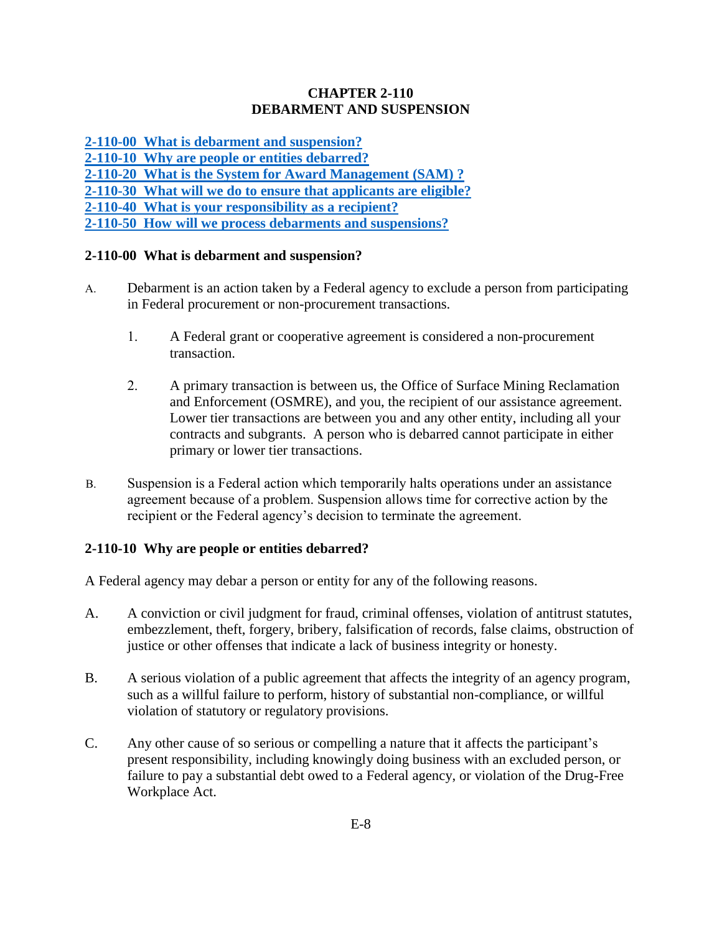## **CHAPTER 2-110 DEBARMENT AND SUSPENSION**

**[2-110-00 What is debarment and suspension?](#page-0-0) [2-110-10 Why are people or entities debarred?](#page-0-1) [2-110-20 What is the System for Award Management \(SAM\) ?](#page-1-0) [2-110-30 What will we do to ensure that applicants are eligible?](#page-1-1) [2-110-40 What is your responsibility as a recipient?](#page-1-2) [2-110-50 How will we process debarments and suspensions?](#page-1-3)**

## <span id="page-0-0"></span>**2-110-00 What is debarment and suspension?**

- A. Debarment is an action taken by a Federal agency to exclude a person from participating in Federal procurement or non-procurement transactions.
	- 1. A Federal grant or cooperative agreement is considered a non-procurement transaction.
	- 2. A primary transaction is between us, the Office of Surface Mining Reclamation and Enforcement (OSMRE), and you, the recipient of our assistance agreement. Lower tier transactions are between you and any other entity, including all your contracts and subgrants. A person who is debarred cannot participate in either primary or lower tier transactions.
- B. Suspension is a Federal action which temporarily halts operations under an assistance agreement because of a problem. Suspension allows time for corrective action by the recipient or the Federal agency's decision to terminate the agreement.

### <span id="page-0-1"></span>**2-110-10 Why are people or entities debarred?**

A Federal agency may debar a person or entity for any of the following reasons.

- A. A conviction or civil judgment for fraud, criminal offenses, violation of antitrust statutes, embezzlement, theft, forgery, bribery, falsification of records, false claims, obstruction of justice or other offenses that indicate a lack of business integrity or honesty.
- B. A serious violation of a public agreement that affects the integrity of an agency program, such as a willful failure to perform, history of substantial non-compliance, or willful violation of statutory or regulatory provisions.
- C. Any other cause of so serious or compelling a nature that it affects the participant's present responsibility, including knowingly doing business with an excluded person, or failure to pay a substantial debt owed to a Federal agency, or violation of the Drug-Free Workplace Act.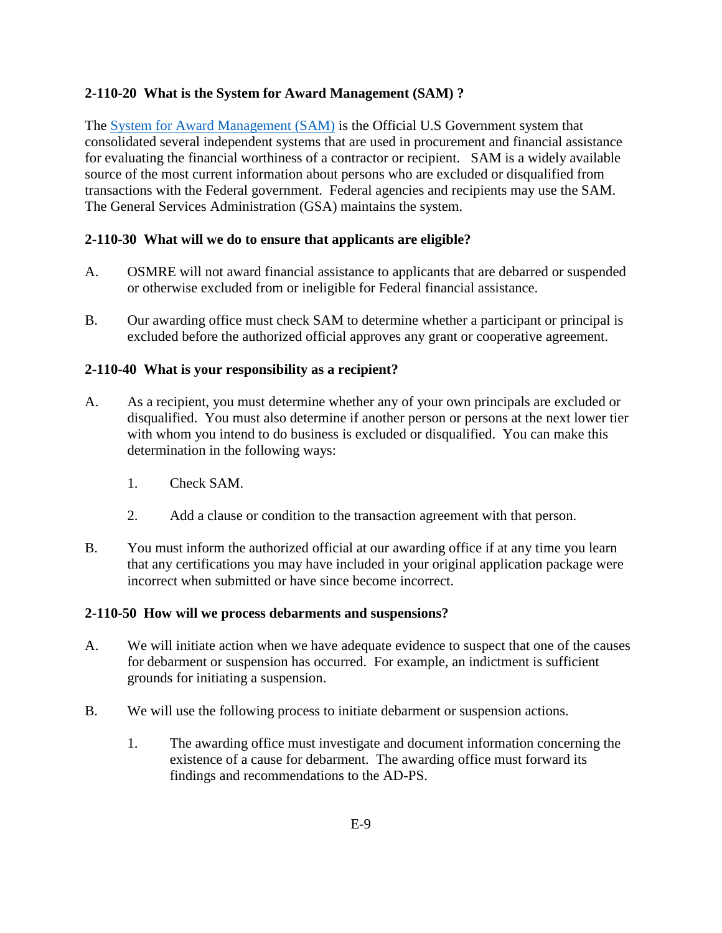# <span id="page-1-0"></span>**2-110-20 What is the System for Award Management (SAM) ?**

The [System for Award Management \(SAM\)](http://www.sam.gov/) is the Official U.S Government system that consolidated several independent systems that are used in procurement and financial assistance for evaluating the financial worthiness of a contractor or recipient. SAM is a widely available source of the most current information about persons who are excluded or disqualified from transactions with the Federal government. Federal agencies and recipients may use the SAM. The General Services Administration (GSA) maintains the system.

### <span id="page-1-1"></span>**2-110-30 What will we do to ensure that applicants are eligible?**

- A. OSMRE will not award financial assistance to applicants that are debarred or suspended or otherwise excluded from or ineligible for Federal financial assistance.
- B. Our awarding office must check SAM to determine whether a participant or principal is excluded before the authorized official approves any grant or cooperative agreement.

## <span id="page-1-2"></span>**2-110-40 What is your responsibility as a recipient?**

- A. As a recipient, you must determine whether any of your own principals are excluded or disqualified. You must also determine if another person or persons at the next lower tier with whom you intend to do business is excluded or disqualified. You can make this determination in the following ways:
	- 1. Check SAM.
	- 2. Add a clause or condition to the transaction agreement with that person.
- B. You must inform the authorized official at our awarding office if at any time you learn that any certifications you may have included in your original application package were incorrect when submitted or have since become incorrect.

### <span id="page-1-3"></span>**2-110-50 How will we process debarments and suspensions?**

- A. We will initiate action when we have adequate evidence to suspect that one of the causes for debarment or suspension has occurred. For example, an indictment is sufficient grounds for initiating a suspension.
- B. We will use the following process to initiate debarment or suspension actions.
	- 1. The awarding office must investigate and document information concerning the existence of a cause for debarment. The awarding office must forward its findings and recommendations to the AD-PS.